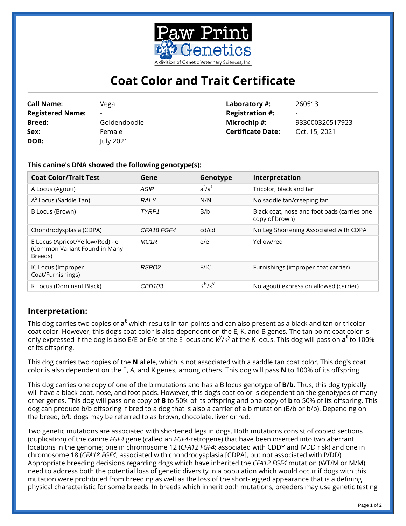

## **Coat Color and Trait Certificate**

| <b>Call Name:</b>       | Vega                     | Laboratory #:            | 260513                   |
|-------------------------|--------------------------|--------------------------|--------------------------|
| <b>Registered Name:</b> | $\overline{\phantom{a}}$ | <b>Registration #:</b>   | $\overline{\phantom{a}}$ |
| <b>Breed:</b>           | Goldendoodle             | Microchip #:             | 933000320517923          |
| Sex:                    | Female                   | <b>Certificate Date:</b> | Oct. 15, 2021            |
| DOB:                    | July 2021                |                          |                          |

**This canine's DNA showed the following genotype(s):**

| <b>Coat Color/Trait Test</b>                                                 | Gene              | Genotype  | Interpretation                                                |
|------------------------------------------------------------------------------|-------------------|-----------|---------------------------------------------------------------|
| A Locus (Agouti)                                                             | <b>ASIP</b>       | $a^t/a^t$ | Tricolor, black and tan                                       |
| A <sup>S</sup> Locus (Saddle Tan)                                            | <b>RALY</b>       | N/N       | No saddle tan/creeping tan                                    |
| B Locus (Brown)                                                              | TYRP1             | B/b       | Black coat, nose and foot pads (carries one<br>copy of brown) |
| Chondrodysplasia (CDPA)                                                      | CFA18 FGF4        | cd/cd     | No Leg Shortening Associated with CDPA                        |
| E Locus (Apricot/Yellow/Red) - e<br>(Common Variant Found in Many<br>Breeds) | MC <sub>1</sub> R | e/e       | Yellow/red                                                    |
| IC Locus (Improper<br>Coat/Furnishings)                                      | RSP <sub>02</sub> | F/IC      | Furnishings (improper coat carrier)                           |
| K Locus (Dominant Black)                                                     | CBD103            | $K^B/K^Y$ | No agouti expression allowed (carrier)                        |

## **Interpretation:**

This dog carries two copies of **a<sup>t</sup>** which results in tan points and can also present as a black and tan or tricolor coat color. However, this dog's coat color is also dependent on the E, K, and B genes. The tan point coat color is only expressed if the dog is also E/E or E/e at the E locus and k<sup>y</sup>/k<sup>y</sup> at the K locus. This dog will pass on **a<sup>t</sup>** to 100% of its offspring.

This dog carries two copies of the **N** allele, which is not associated with a saddle tan coat color. This dog's coat color is also dependent on the E, A, and K genes, among others. This dog will pass **N** to 100% of its offspring.

This dog carries one copy of one of the b mutations and has a B locus genotype of **B/b**. Thus, this dog typically will have a black coat, nose, and foot pads. However, this dog's coat color is dependent on the genotypes of many other genes. This dog will pass one copy of **B** to 50% of its offspring and one copy of **b** to 50% of its offspring. This dog can produce b/b offspring if bred to a dog that is also a carrier of a b mutation (B/b or b/b). Depending on the breed, b/b dogs may be referred to as brown, chocolate, liver or red.

Two genetic mutations are associated with shortened legs in dogs. Both mutations consist of copied sections (duplication) of the canine *FGF4* gene (called an *FGF4*-retrogene) that have been inserted into two aberrant locations in the genome; one in chromosome 12 (*CFA12 FGF4*; associated with CDDY and IVDD risk) and one in chromosome 18 (*CFA18 FGF4*; associated with chondrodysplasia [CDPA], but not associated with IVDD). Appropriate breeding decisions regarding dogs which have inherited the *CFA12 FGF4* mutation (WT/M or M/M) need to address both the potential loss of genetic diversity in a population which would occur if dogs with this mutation were prohibited from breeding as well as the loss of the short-legged appearance that is a defining physical characteristic for some breeds. In breeds which inherit both mutations, breeders may use genetic testing